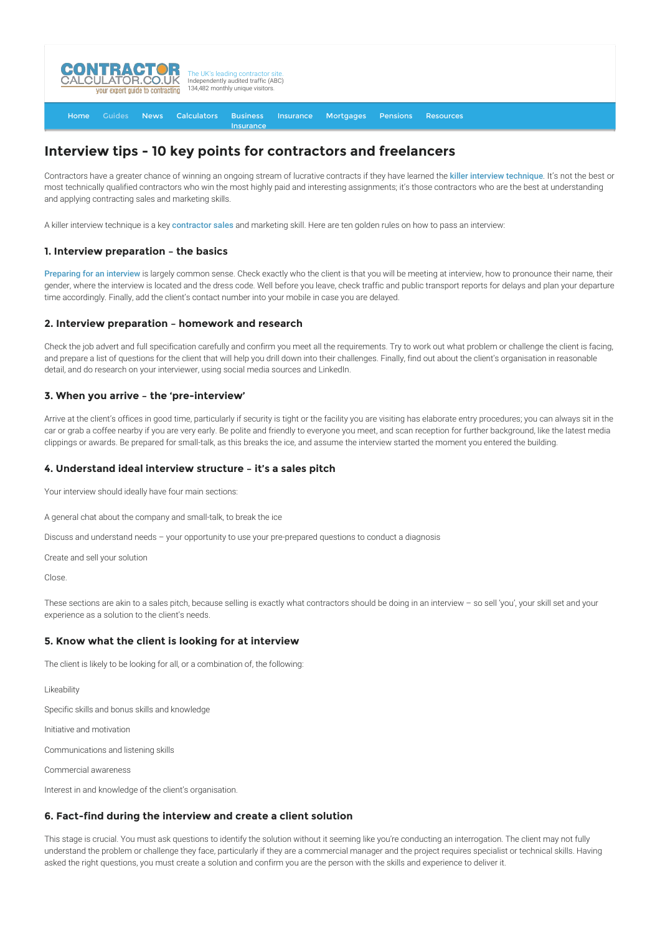

#### [Home](http://www.contractorcalculator.co.uk/) [Guides](http://www.contractorcalculator.co.uk/Articles.aspx) [News](http://www.contractorcalculator.co.uk/Contractor_News.aspx) [Calculators](http://www.contractorcalculator.co.uk/Calculators.aspx) Business Insurance **[Insurance](http://www.contractorcalculator.co.uk/Contractor_Insurances.aspx)** [Mortgages](http://www.contractorcalculator.co.uk/Contractor_Mortgages.aspx) [Pensions](http://www.contractorcalculator.co.uk/Contractor_Pensions.aspx) [Resources](http://www.contractorcalculator.co.uk/Contractor_Resources.aspx)

# **Interview tips - 10 key points for contractors and freelancers**

Contractors have a greater chance of winning an ongoing stream of lucrative contracts if they have learned the [killer interview technique](http://www.contractorcalculator.co.uk/killer_interview_technique_success_contractor.aspx). It's not the best or most technically qualified contractors who win the most highly paid and interesting assignments; it's those contractors who are the best at understanding and applying contracting sales and marketing skills.

A killer interview technique is a key [contractor sales](http://www.contractorcalculator.co.uk/contractor_sales_guide.aspx) and marketing skill. Here are ten golden rules on how to pass an interview:

#### **1. Interview preparation – the basics**

[Preparing for an interview](http://www.contractorcalculator.co.uk/preparing_interview.aspx) is largely common sense. Check exactly who the client is that you will be meeting at interview, how to pronounce their name, their gender, where the interview is located and the dress code. Well before you leave, check traffic and public transport reports for delays and plan your departure time accordingly. Finally, add the client's contact number into your mobile in case you are delayed.

#### **2. Interview preparation – homework and research**

Check the job advert and full specification carefully and confirm you meet all the requirements. Try to work out what problem or challenge the client is facing, and prepare a list of questions for the client that will help you drill down into their challenges. Finally, find out about the client's organisation in reasonable detail, and do research on your interviewer, using social media sources and LinkedIn.

#### **3. When you arrive – the 'pre-interview'**

Arrive at the client's offices in good time, particularly if security is tight or the facility you are visiting has elaborate entry procedures; you can always sit in the car or grab a coffee nearby if you are very early. Be polite and friendly to everyone you meet, and scan reception for further background, like the latest media clippings or awards. Be prepared for small-talk, as this breaks the ice, and assume the interview started the moment you entered the building.

#### **4. Understand ideal interview structure – it's a sales pitch**

Your interview should ideally have four main sections:

A general chat about the company and small-talk, to break the ice

Discuss and understand needs – your opportunity to use your pre-prepared questions to conduct a diagnosis

Create and sell your solution

Close.

These sections are akin to a sales pitch, because selling is exactly what contractors should be doing in an interview - so sell 'you', your skill set and your experience as a solution to the client's needs.

#### **5. Know what the client is looking for at interview**

The client is likely to be looking for all, or a combination of, the following:

Likeability

Specific skills and bonus skills and knowledge

Initiative and motivation

Communications and listening skills

Commercial awareness

Interest in and knowledge of the client's organisation.

### **6. Fact-find during the interview and create a client solution**

This stage is crucial. You must ask questions to identify the solution without it seeming like you're conducting an interrogation. The client may not fully understand the problem or challenge they face, particularly if they are a commercial manager and the project requires specialist or technical skills. Having asked the right questions, you must create a solution and confirm you are the person with the skills and experience to deliver it.